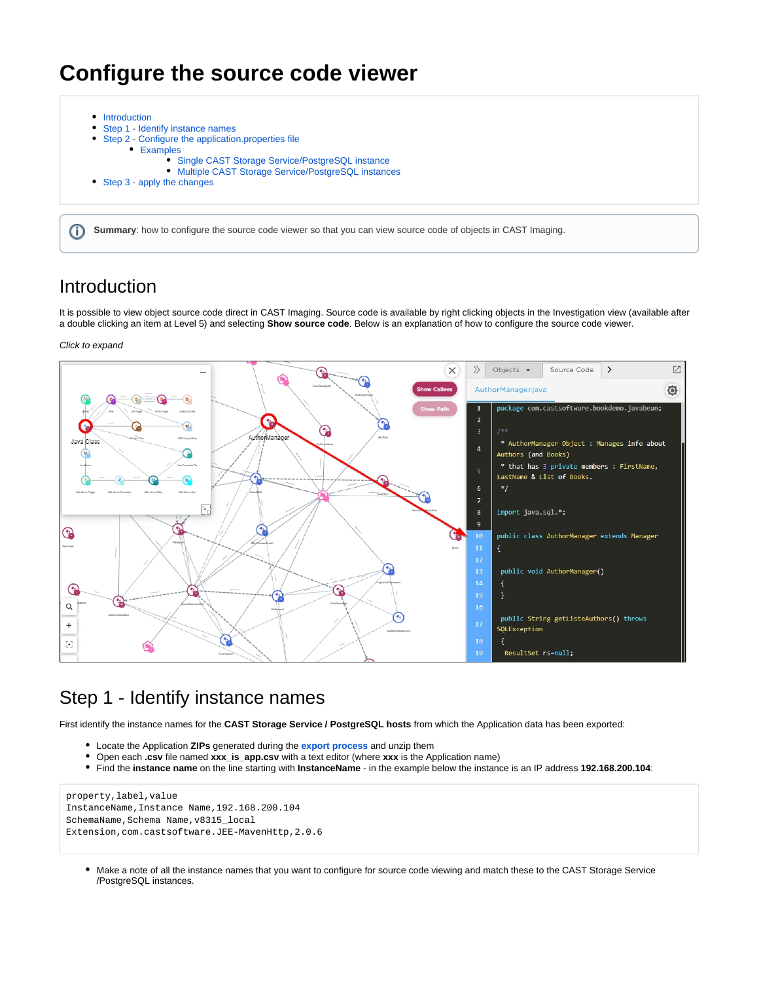# **Configure the source code viewer**

|    | • Introduction<br>• Step 1 - Identify instance names                                                                    |  |
|----|-------------------------------------------------------------------------------------------------------------------------|--|
|    | • Step 2 - Configure the application properties file                                                                    |  |
|    | • Examples<br>• Single CAST Storage Service/PostgreSQL instance<br>• Multiple CAST Storage Service/PostgreSQL instances |  |
|    | • Step 3 - apply the changes                                                                                            |  |
|    |                                                                                                                         |  |
| G) | Summary: how to configure the source code viewer so that you can view source code of objects in CAST Imaging.           |  |

## <span id="page-0-0"></span>Introduction

It is possible to view object source code direct in CAST Imaging. Source code is available by right clicking objects in the Investigation view (available after a double clicking an item at Level 5) and selecting **Show source code**. Below is an explanation of how to configure the source code viewer.

### Click to expand

⊚



## <span id="page-0-1"></span>Step 1 - Identify instance names

First identify the instance names for the **CAST Storage Service / PostgreSQL hosts** from which the Application data has been exported:

- Locate the Application **ZIPs** generated during the **[export process](https://doc.castsoftware.com/display/IMAGING/Export+and+import+the+Application+data)** and unzip them
- Open each **.csv** file named **xxx\_is\_app.csv** with a text editor (where **xxx** is the Application name)
- Find the **instance name** on the line starting with **InstanceName** in the example below the instance is an IP address **192.168.200.104**:

### property,label,value InstanceName,Instance Name,192.168.200.104 SchemaName, Schema Name, v8315\_local Extension,com.castsoftware.JEE-MavenHttp,2.0.6

Make a note of all the instance names that you want to configure for source code viewing and match these to the CAST Storage Service /PostgreSQL instances.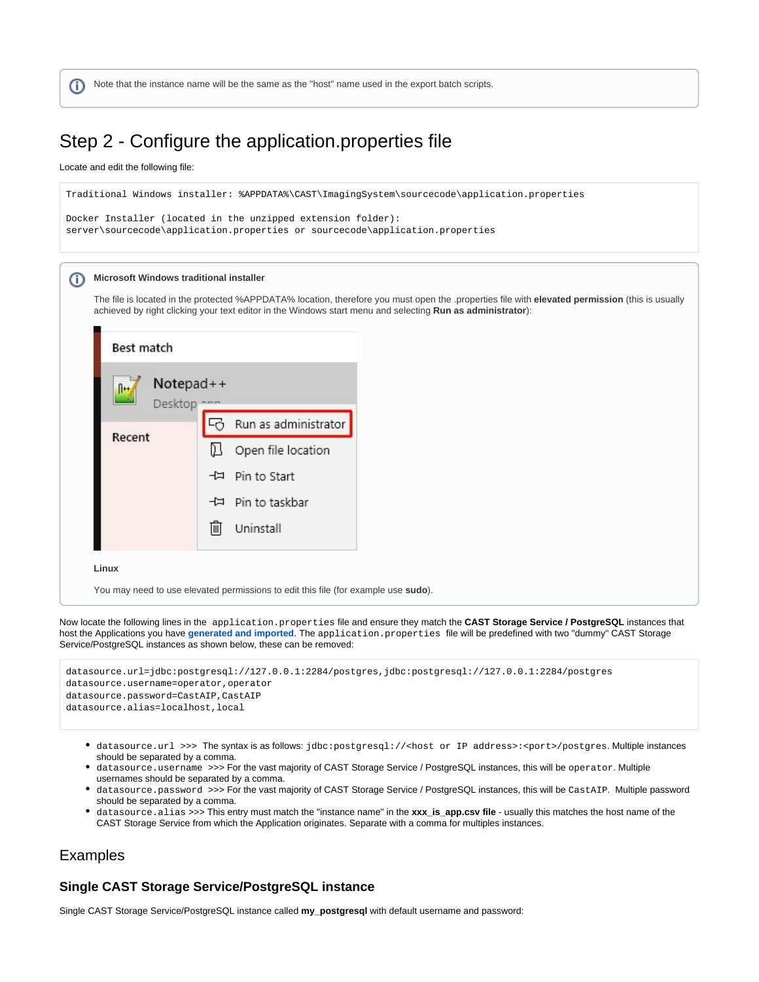Note that the instance name will be the same as the "host" name used in the export batch scripts. (i)

## <span id="page-1-0"></span>Step 2 - Configure the application.properties file

Locate and edit the following file:

```
Traditional Windows installer: %APPDATA%\CAST\ImagingSystem\sourcecode\application.properties
Docker Installer (located in the unzipped extension folder):
server\sourcecode\application.properties or sourcecode\application.properties
```
#### **Microsoft Windows traditional installer** ന

The file is located in the protected %APPDATA% location, therefore you must open the .properties file with **elevated permission** (this is usually achieved by right clicking your text editor in the Windows start menu and selecting **Run as administrator**):

| Best match                               |                         |
|------------------------------------------|-------------------------|
| $Notepad++$<br>$\mathbb{R}^+$<br>Desktop |                         |
|                                          | Run as administrator    |
| Recent                                   | D<br>Open file location |
|                                          | + Pin to Start          |
|                                          | - Pin to taskbar        |
|                                          | Uninstall<br>IIII       |

**Linux**

L

You may need to use elevated permissions to edit this file (for example use **sudo**).

Now locate the following lines in the application.properties file and ensure they match the **CAST Storage Service / PostgreSQL** instances that host the Applications you have **[generated and imported](https://doc.castsoftware.com/display/IMAGING/Export+and+import+the+Application+data)**. The application.properties file will be predefined with two "dummy" CAST Storage Service/PostgreSQL instances as shown below, these can be removed:

```
datasource.url=jdbc:postgresql://127.0.0.1:2284/postgres,jdbc:postgresql://127.0.0.1:2284/postgres
datasource.username=operator,operator
datasource.password=CastAIP,CastAIP
datasource.alias=localhost,local
```
- datasource.url >>> The syntax is as follows: jdbc:postgresql://<host or IP address>:<port>/postgres. Multiple instances should be separated by a comma.
- datasource.username >>> For the vast majority of CAST Storage Service / PostgreSQL instances, this will be operator. Multiple usernames should be separated by a comma.
- datasource.password >>> For the vast majority of CAST Storage Service / PostgreSQL instances, this will be CastAIP. Multiple password should be separated by a comma.
- datasource.alias >>> This entry must match the "instance name" in the **xxx\_is\_app.csv file**  usually this matches the host name of the CAST Storage Service from which the Application originates. Separate with a comma for multiples instances.

## <span id="page-1-1"></span>Examples

## <span id="page-1-2"></span>**Single CAST Storage Service/PostgreSQL instance**

Single CAST Storage Service/PostgreSQL instance called **my\_postgresql** with default username and password: